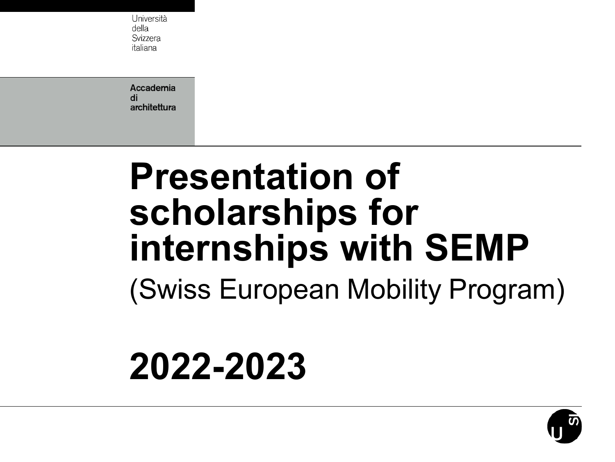Università della Svizzera italiana

Accademia di architettura

### **Presentation of scholarships for internships with SEMP** (Swiss European Mobility Program)

### **2022-2023**

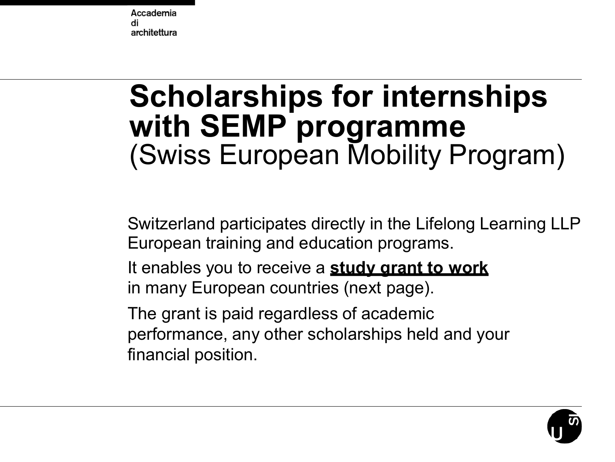### **Scholarships for internships with SEMP programme** (Swiss European Mobility Program)

Switzerland participates directly in the Lifelong Learning LLP European training and education programs.

It enables you to receive a **study grant to work** in many European countries (next page).

The grant is paid regardless of academic performance, any other scholarships held and your financial position.

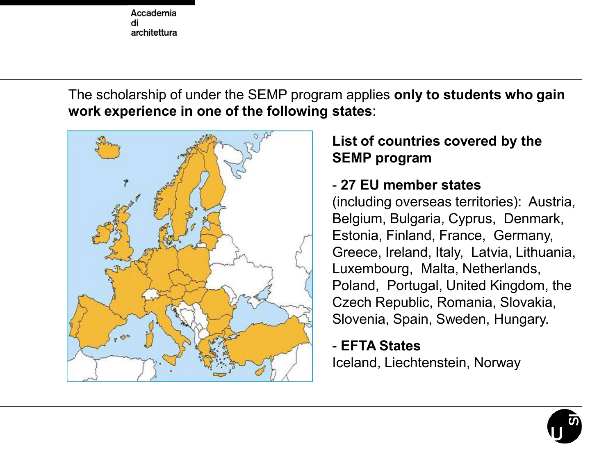The scholarship of under the SEMP program applies **only to students who gain work experience in one of the following states**:



#### **List of countries covered by the SEMP program**

#### - **27 EU member states**

(including overseas territories): Austria, Belgium, Bulgaria, Cyprus, Denmark, Estonia, Finland, France, Germany, Greece, Ireland, Italy, Latvia, Lithuania, Luxembourg, Malta, Netherlands, Poland, Portugal, United Kingdom, the Czech Republic, Romania, Slovakia, Slovenia, Spain, Sweden, Hungary.

#### - **EFTA States** Iceland, Liechtenstein, Norway

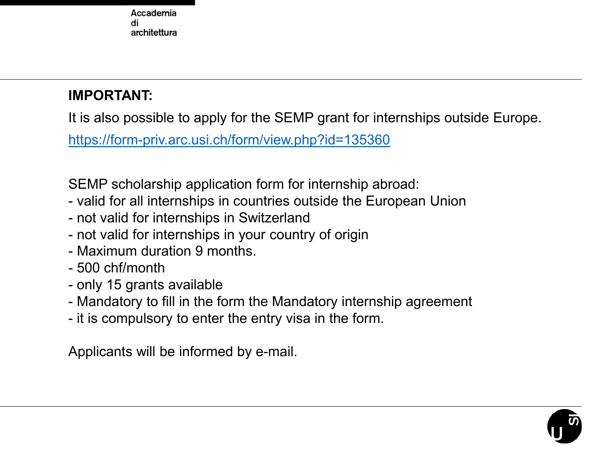#### **IMPORTANT:**

It is also possible to apply for the SEMP grant for internships outside Europe.

<https://form-priv.arc.usi.ch/form/view.php?id=135360>

SEMP scholarship application form for internship abroad:

- valid for all internships in countries outside the European Union
- not valid for internships in Switzerland
- not valid for internships in your country of origin
- Maximum duration 9 months.
- 500 chf/month
- only 15 grants available
- Mandatory to fill in the form the Mandatory internship agreement
- it is compulsory to enter the entry visa in the form.

Applicants will be informed by e-mail.

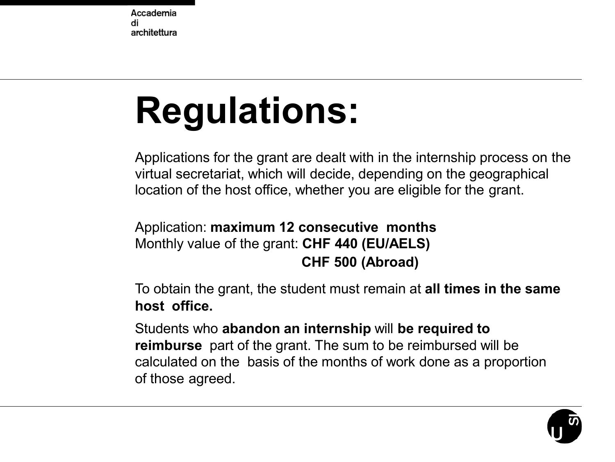## **Regulations:**

Applications for the grant are dealt with in the internship process on the virtual secretariat, which will decide, depending on the geographical location of the host office, whether you are eligible for the grant.

#### Application: **maximum 12 consecutive months** Monthly value of the grant: **CHF 440 (EU/AELS) CHF 500 (Abroad)**

To obtain the grant, the student must remain at **all times in the same host office.**

Students who **abandon an internship** will **be required to reimburse** part of the grant. The sum to be reimbursed will be calculated on the basis of the months of work done as a proportion of those agreed.

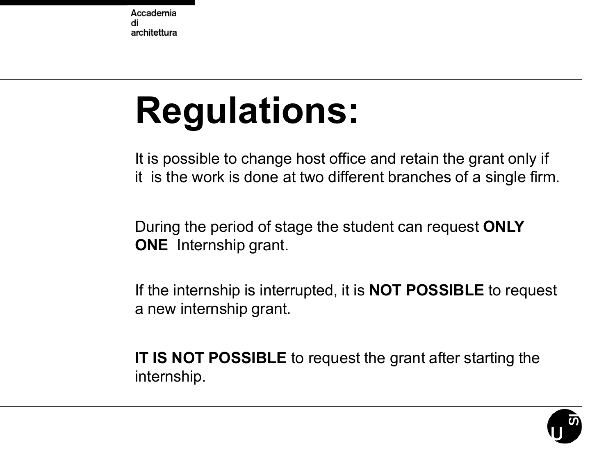## **Regulations:**

It is possible to change host office and retain the grant only if it is the work is done at two different branches of a single firm.

During the period of stage the student can request **ONLY ONE** Internship grant.

If the internship is interrupted, it is **NOT POSSIBLE** to request a new internship grant.

**IT IS NOT POSSIBLE** to request the grant after starting the internship.

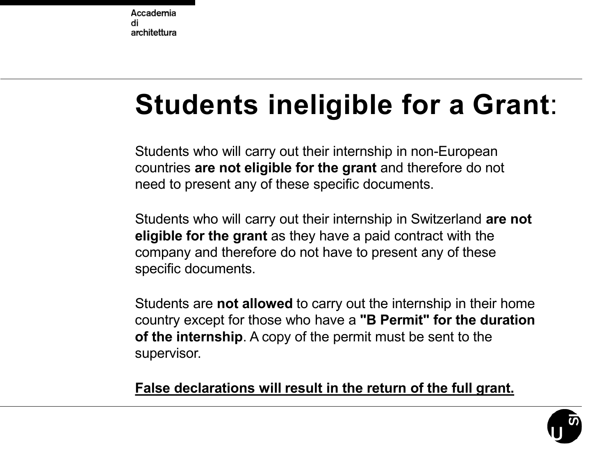### **Students ineligible for a Grant**:

Students who will carry out their internship in non-European countries **are not eligible for the grant** and therefore do not need to present any of these specific documents.

Students who will carry out their internship in Switzerland **are not eligible for the grant** as they have a paid contract with the company and therefore do not have to present any of these specific documents.

Students are **not allowed** to carry out the internship in their home country except for those who have a **"B Permit" for the duration of the internship**. A copy of the permit must be sent to the supervisor.

**False declarations will result in the return of the full grant.**

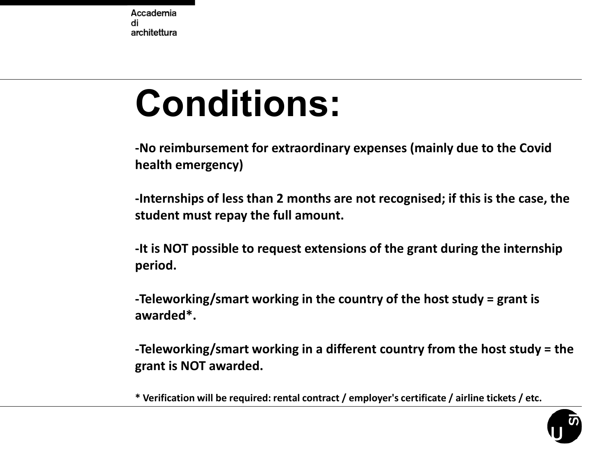### **Conditions:**

**-No reimbursement for extraordinary expenses (mainly due to the Covid health emergency)**

**-Internships of less than 2 months are not recognised; if this is the case, the student must repay the full amount.**

**-It is NOT possible to request extensions of the grant during the internship period.**

**-Teleworking/smart working in the country of the host study = grant is awarded\*.**

**-Teleworking/smart working in a different country from the host study = the grant is NOT awarded.**

**\* Verification will be required: rental contract / employer's certificate / airline tickets / etc.**

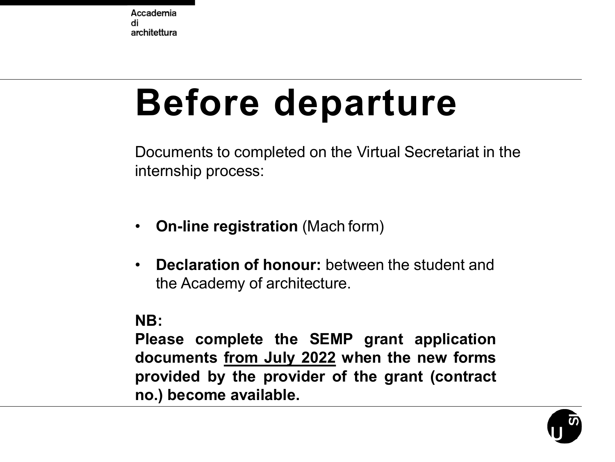## **Before departure**

Documents to completed on the Virtual Secretariat in the internship process:

- **On-line registration** (Mach form)
- **Declaration of honour:** between the student and the Academy of architecture.

#### **NB:**

**Please complete the SEMP grant application documents from July 2022 when the new forms provided by the provider of the grant (contract no.) become available.**

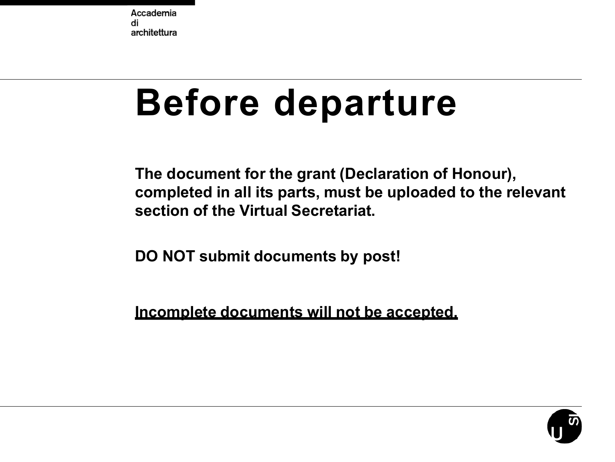### **Before departure**

**The document for the grant (Declaration of Honour), completed in all its parts, must be uploaded to the relevant section of the Virtual Secretariat.**

**DO NOT submit documents by post!** 

**Incomplete documents will not be accepted.**

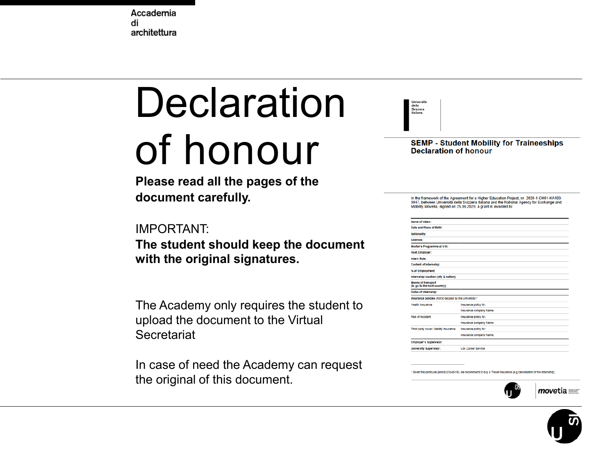# **Declaration**

### of honour

**Please read all the pages of the document carefully.**

#### IMPORTANT:

**The student should keep the document with the original signatures.**

The Academy only requires the student to upload the document to the Virtual **Secretariat** 

In case of need the Academy can request the original of this document.



**SEMP - Student Mobility for Traineeships Declaration of honour** 

In the framework of the Agreement for a Higher Education Project, nr. 2020-1-CH01-KA103-<br>0047, between Università della Svizzera italiana and the National Agency for Exchange and Mobility Movetia, signed on 25.06.2020, a grant is awarded to:

| Name of Intern:                                           |                         |
|-----------------------------------------------------------|-------------------------|
| Date and Place of Birth:                                  |                         |
| Nationality:                                              |                         |
| Address:                                                  |                         |
| Master's Programme at USI:                                |                         |
| <b>Host Employer:</b>                                     |                         |
| Infarn Rola:                                              |                         |
| <b>Content of Internahlp:</b>                             |                         |
| % of Employment:                                          |                         |
| Internahlp location (city & nation):                      |                         |
| <b>Means of transport</b><br>(to go to the host country): |                         |
| Dates of Internahlp:                                      |                         |
| Insurance policies (not to be paid by the University)*    |                         |
| <b>Health Insurance</b>                                   | Insurance policy Nr.:   |
|                                                           | Insurance company Name: |
| <b>Risk of Accident</b>                                   | Insurance policy Nr.:   |
|                                                           | Insurance company Name: |
| Third party cover / liability insurance                   | Insurance policy Nr.:   |
|                                                           | Insurance company Name: |
|                                                           |                         |
| Employer's Supervisor:                                    |                         |

Given the particular period (Covid-19), we recommend to buy a Travel Insurance (e.g cancellation of the Internship



 $m$ ovetia $\equiv$ 

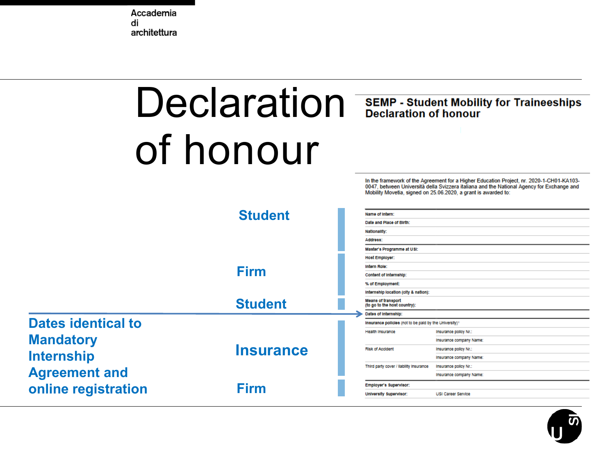# Declaration SEMP - Student Mobility for Traineeships of honour

In the framework of the Agreement for a Higher Education Project, nr. 2020-1-CH01-KA103-0047, between Università della Svizzera italiana and the National Agency for Exchange and Mobility Movetia, signed on 25.06.2020, a grant is awarded to:



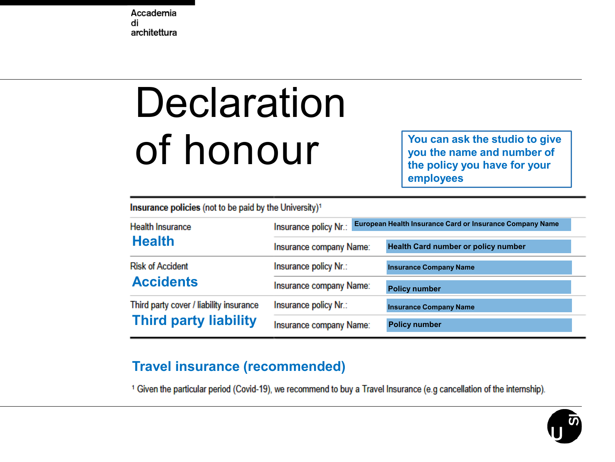# **Declaration** of honour

**You can ask the studio to give you the name and number of the policy you have for your employees**

Insurance policies (not to be paid by the University)<sup>1</sup>

| <b>Health Insurance</b>                                                 | European Health Insurance Card or Insurance Company Name<br>Insurance policy Nr.: |                                            |  |
|-------------------------------------------------------------------------|-----------------------------------------------------------------------------------|--------------------------------------------|--|
| <b>Health</b>                                                           | Insurance company Name:                                                           | <b>Health Card number or policy number</b> |  |
| <b>Risk of Accident</b><br><b>Accidents</b>                             | Insurance policy Nr.:                                                             | <b>Insurance Company Name</b>              |  |
|                                                                         | Insurance company Name:                                                           | <b>Policy number</b>                       |  |
| Third party cover / liability insurance<br><b>Third party liability</b> | Insurance policy Nr.:                                                             | <b>Insurance Company Name</b>              |  |
|                                                                         | Insurance company Name:                                                           | <b>Policy number</b>                       |  |

#### **Travel insurance (recommended)**

<sup>1</sup> Given the particular period (Covid-19), we recommend to buy a Travel Insurance (e.g cancellation of the internship).

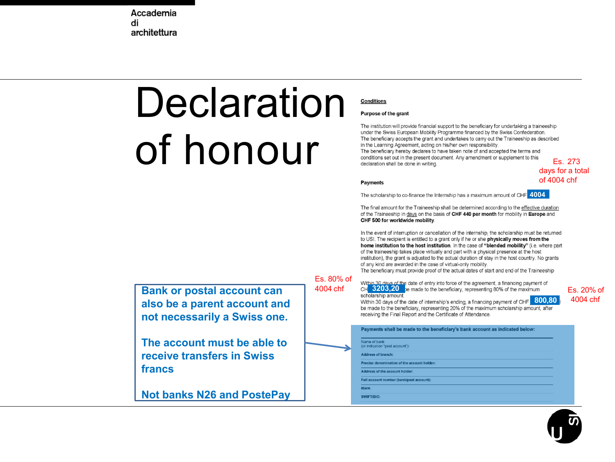# Declaration of honour

**Bank or postal account can also be a parent account and not necessarily a Swiss one.**

**The account must be able to receive transfers in Swiss** 

**Not banks N26 and PostePay**

**francs**

#### **Conditions**

#### **Purpose of the grant**

The institution will provide financial support to the beneficiary for undertaking a traineeship under the Swiss European Mobility Programme financed by the Swiss Confederation. The beneficiary accepts the grant and undertakes to carry out the Traineeship as described in the Learning Agreement, acting on his/her own responsibility. The beneficiary hereby declares to have taken note of and accepted the terms and conditions set out in the present document. Any amendment or supplement to this Es. 273 declaration shall be done in writing.

**Payments** 

The scholarship to co-finance the Internship has a maximum amount of CHF 4004

The final amount for the Traineeship shall be determined according to the effective duration of the Traineeship in days on the basis of CHF 440 per month for mobility in Europe and CHF 500 for worldwide mobility.

In the event of interruption or cancellation of the internship, the scholarship must be returned to USI. The recipient is entitled to a grant only if he or she physically moves from the home institution to the host institution. In the case of "blended mobility" (i.e. where part of the traineeship takes place virtually and part with a physical presence at the host institution), the grant is adjusted to the actual duration of stay in the host country. No grants of any kind are awarded in the case of virtual-only mobility.

The beneficiary must provide proof of the actual dates of start and end of the Traineeship

Es. 80% of

Within 30 days of the date of entry into force of the agreement, a financing payment of **4004 chf** CH 3203,20 be made to the beneficiary, representing 80% of the maximum Es. 20% of

Within 30 days of the date of internship's ending, a financing payment of CHF **800,80**<br>be made to the beneficiary, representing 20% of the maximum scholarship amount, after receiving the Final Report and the Certificate of Attendance.

Payments shall be made to the beneficiary's bank account as indicated below: Name of bank (or indication "post account"): **Address of branch:** Precise denomination of the account holder. Address of the account holder: Full account number (bank/post account): **IBAN:** 

SWIFT/BIC

days for a total of 4004 chf

4004 chf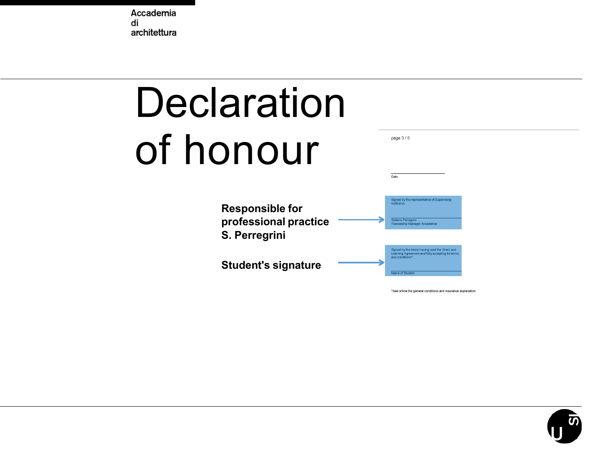

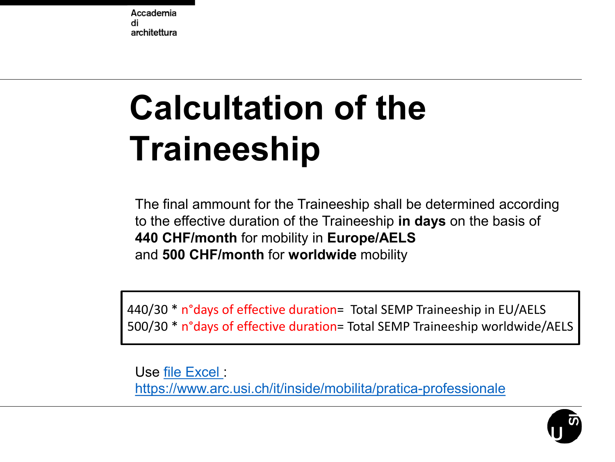### **Calcultation of the Traineeship**

The final ammount for the Traineeship shall be determined according to the effective duration of the Traineeship **in days** on the basis of **440 CHF/month** for mobility in **Europe/AELS** and **500 CHF/month** for **worldwide** mobility

440/30 \* n°days of effective duration= Total SEMP Traineeship in EU/AELS 500/30 \* n°days of effective duration= Total SEMP Traineeship worldwide/AELS

Use [file Excel](https://www.arc.usi.ch/sites/www.arc.usi.ch/files/attachments/calculation_of_the_scholarship_2021_2023_0.xlsx) : <https://www.arc.usi.ch/it/inside/mobilita/pratica-professionale>

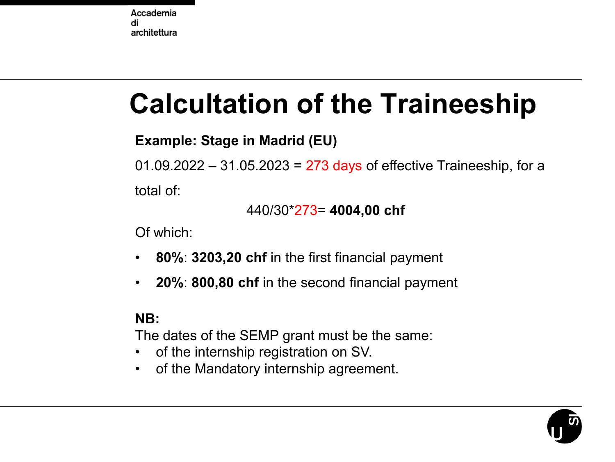### **Calcultation of the Traineeship**

#### **Example: Stage in Madrid (EU)**

 $01.09.2022 - 31.05.2023 = 273$  days of effective Traineeship, for a total of:

#### 440/30\*273= **4004,00 chf**

Of which:

- **80%**: **3203,20 chf** in the first financial payment
- **20%**: **800,80 chf** in the second financial payment

#### **NB:**

The dates of the SEMP grant must be the same:

- of the internship registration on SV.
- of the Mandatory internship agreement.

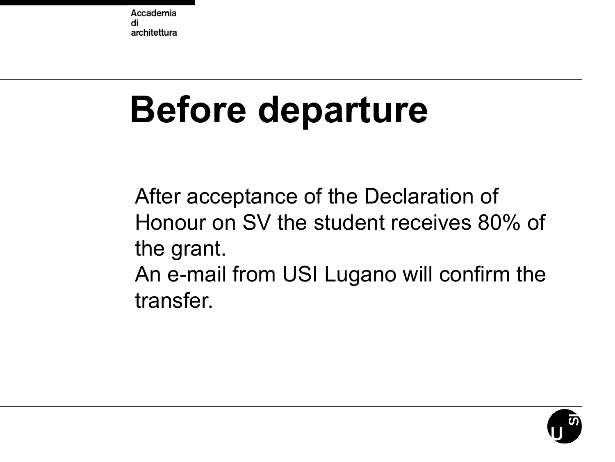# **Before departure**

After acceptance of the Declaration of Honour on SV the student receives 80% of the grant. An e-mail from USI Lugano will confirm the transfer.

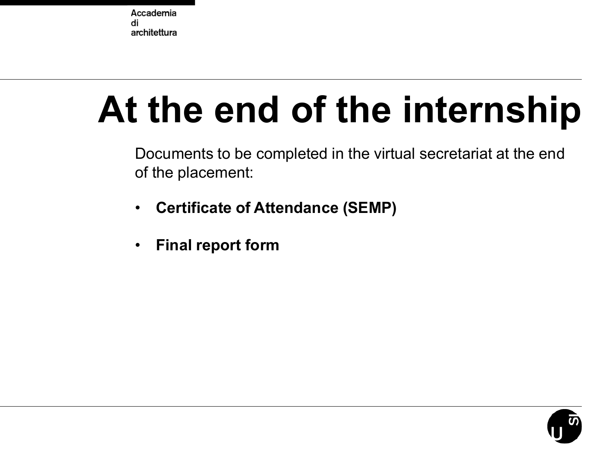## **At the end of the internship**

Documents to be completed in the virtual secretariat at the end of the placement:

- **Certificate of Attendance (SEMP)**
- **Final report form**

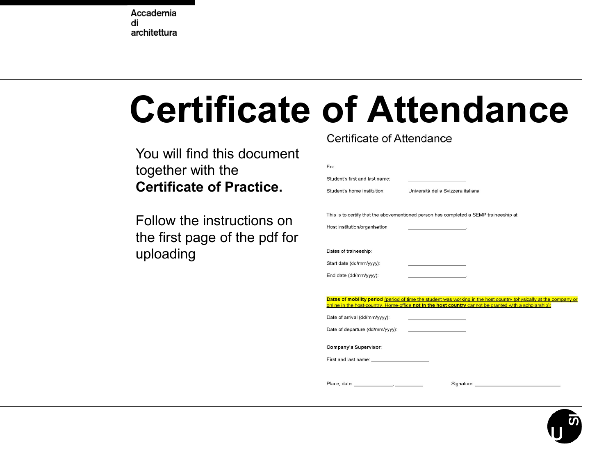# Certificate of Attendance

You will find this document together with the **Certificate of Practice.**

Follow the instructions on the first page of the pdf for uploading

| For:                                                                                                                                                                                                                                 |  |  |  |  |  |  |
|--------------------------------------------------------------------------------------------------------------------------------------------------------------------------------------------------------------------------------------|--|--|--|--|--|--|
| Student's first and last name:                                                                                                                                                                                                       |  |  |  |  |  |  |
| Student's home institution:<br>Università della Svizzera italiana                                                                                                                                                                    |  |  |  |  |  |  |
|                                                                                                                                                                                                                                      |  |  |  |  |  |  |
| This is to certify that the abovementioned person has completed a SEMP traineeship at:                                                                                                                                               |  |  |  |  |  |  |
| Host institution/organisation:<br>the contract of the contract of the contract                                                                                                                                                       |  |  |  |  |  |  |
|                                                                                                                                                                                                                                      |  |  |  |  |  |  |
| Dates of traineeship:                                                                                                                                                                                                                |  |  |  |  |  |  |
| Start date (dd/mm/yyyy):<br>the control of the control of the control of                                                                                                                                                             |  |  |  |  |  |  |
| End date (dd/mm/yyyy):<br>the company's company's company's                                                                                                                                                                          |  |  |  |  |  |  |
|                                                                                                                                                                                                                                      |  |  |  |  |  |  |
| Dates of mobility period (period of time the student was working in the host country (physically at the company or                                                                                                                   |  |  |  |  |  |  |
| online in the host-country. Home-office not in the host country cannot be granted with a scholarship):                                                                                                                               |  |  |  |  |  |  |
| Date of arrival (dd/mm/yyyy):<br>the contract of the contract of the contract of the contract of                                                                                                                                     |  |  |  |  |  |  |
| Date of departure (dd/mm/yyyy):<br>the control of the control of the control of                                                                                                                                                      |  |  |  |  |  |  |
| Company's Supervisor:                                                                                                                                                                                                                |  |  |  |  |  |  |
|                                                                                                                                                                                                                                      |  |  |  |  |  |  |
| First and last name: <u>contract and contract and contract and contract and contract and contract and contract and contract and contract and contract and contract and contract and contract and contract and contract and contr</u> |  |  |  |  |  |  |
|                                                                                                                                                                                                                                      |  |  |  |  |  |  |
| Signature: the contract of the contract of the contract of the contract of the contract of the contract of the                                                                                                                       |  |  |  |  |  |  |

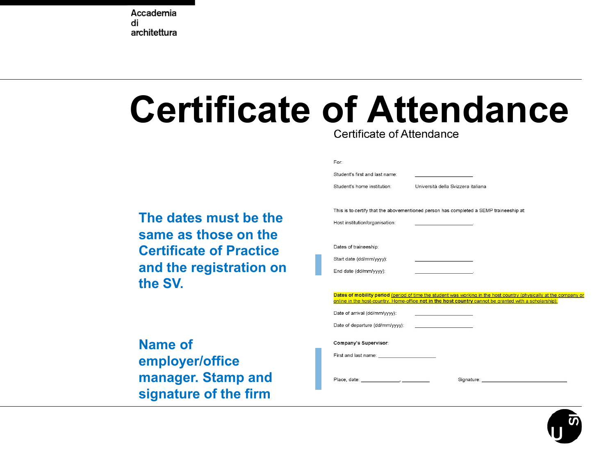### **Certificate of Attendance**

| Certificate of Attendance |  |
|---------------------------|--|
|                           |  |

**The dates must be the same as those on the Certificate of Practice and the registration on the SV.**

**Name of employer/office manager. Stamp and signature of the firm**

| For:                                                                                                                                                                                                                                 |
|--------------------------------------------------------------------------------------------------------------------------------------------------------------------------------------------------------------------------------------|
| Student's first and last name:                                                                                                                                                                                                       |
| Università della Svizzera italiana<br>Student's home institution:                                                                                                                                                                    |
|                                                                                                                                                                                                                                      |
| This is to certify that the abovementioned person has completed a SEMP traineeship at:                                                                                                                                               |
| Host institution/organisation:<br>the contract of the contract of the con-                                                                                                                                                           |
|                                                                                                                                                                                                                                      |
| Dates of traineeship:                                                                                                                                                                                                                |
| Start date (dd/mm/yyyy):<br>the control of the control of the control of the                                                                                                                                                         |
| End date (dd/mm/yyyy):<br>the control of the control of the control of                                                                                                                                                               |
|                                                                                                                                                                                                                                      |
| Dates of mobility period (period of time the student was working in the host country (physically at the company or                                                                                                                   |
| online in the host-country. Home-office not in the host country cannot be granted with a scholarship):                                                                                                                               |
| Date of arrival (dd/mm/yyyy):<br>the control of the control of the control of                                                                                                                                                        |
| Date of departure (dd/mm/yyyy):<br>the control of the control of the control of                                                                                                                                                      |
|                                                                                                                                                                                                                                      |
| Company's Supervisor:                                                                                                                                                                                                                |
| First and last name: <u>contract and contract and contract and contract and contract and contract and contract and contract and contract and contract and contract and contract and contract and contract and contract and contr</u> |
|                                                                                                                                                                                                                                      |
| Signature: the contract of the contract of the contract of the contract of the contract of the contract of the                                                                                                                       |
|                                                                                                                                                                                                                                      |

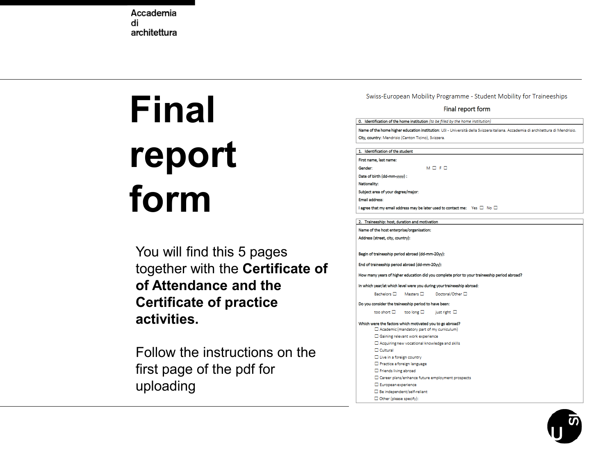# **Final report form**

You will find this 5 pages together with the **Certificate of of Attendance and the Certificate of practice activities.**

Follow the instructions on the first page of the pdf for uploading

Swiss-European Mobility Programme - Student Mobility for Traineeships

#### Final report form

0. Identification of the home institution (to be filled by the home institution) Name of the home higher education institution: USI - Università della Svizzera italiana. Accademia di architettura di Mendrisio. City, country: Mendrisio (Canton Ticino), Svizzera.

#### 1. Identification of the student

| irst name, last name:                                                                      |                 |  |
|--------------------------------------------------------------------------------------------|-----------------|--|
| Sender:                                                                                    | $M \Box F \Box$ |  |
| Date of birth (dd-mm-vvvv) :                                                               |                 |  |
| <b>Vationality:</b>                                                                        |                 |  |
| ubject area of your degree/major:                                                          |                 |  |
| mail address:                                                                              |                 |  |
| agree that my email address may be later used to contact me: $\forall$ es $\Box$ No $\Box$ |                 |  |

#### 2. Traineeship: host, duration and motivation

Name of the host enterprise/organisation: Address (street, city, country):

Begin of traineeship period abroad (dd-mm-20yy):

End of traineeship period abroad (dd-mm-20yy):

How many years of higher education did you complete prior to your traineeship period abroad?

In which year/at which level were you during your traineeship abroad:

Bachelors □ Masters □ Doctoral/Other □

Do you consider the traineeship period to have been:

too short  $\square$  too long  $\square$  just right  $\square$ 

- Which were the factors which motivated you to go abroad? □ Academic (mandatory part of my curriculum) □ Gaining relevant work experience  $\Box$  Acquiring new vocational knowledge and skills **Cultural**  $\Box$  Live in a foreign country Practice a foreign language Friends living abroad □ Career plans/enhance future employment prospects European experience
	- $\square$  Be independent/self-reliant
	- Other (please specify):

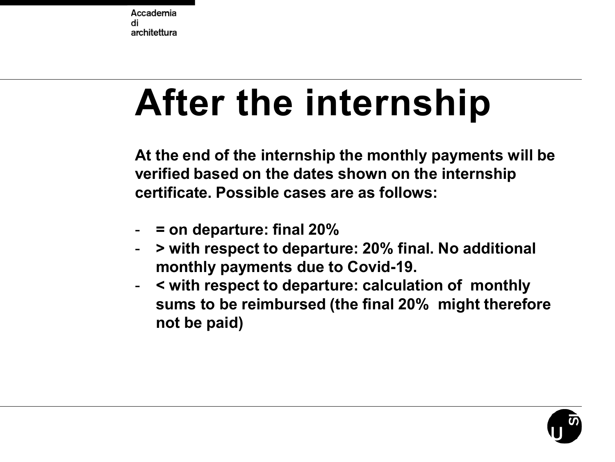# **After the internship**

**At the end of the internship the monthly payments will be verified based on the dates shown on the internship certificate. Possible cases are as follows:**

- **= on departure: final 20%**
- **> with respect to departure: 20% final. No additional monthly payments due to Covid-19.**
- **< with respect to departure: calculation of monthly sums to be reimbursed (the final 20% might therefore not be paid)**

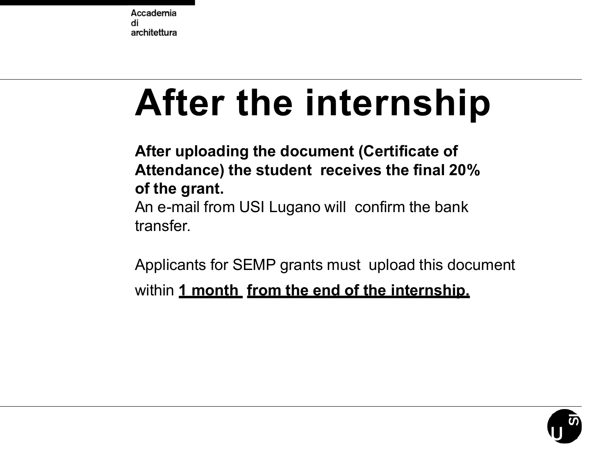## **After the internship**

**After uploading the document (Certificate of Attendance) the student receives the final 20% of the grant.** An e-mail from USI Lugano will confirm the bank transfer.

Applicants for SEMP grants must upload this document within **1 month from the end of the internship.**